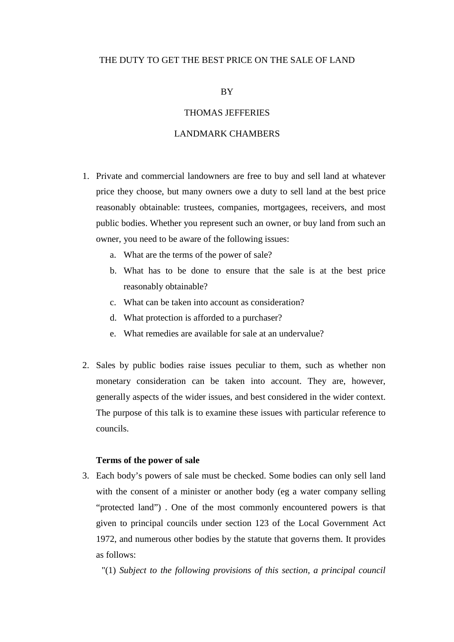#### THE DUTY TO GET THE BEST PRICE ON THE SALE OF LAND

#### BY

## THOMAS JEFFERIES

## LANDMARK CHAMBERS

- 1. Private and commercial landowners are free to buy and sell land at whatever price they choose, but many owners owe a duty to sell land at the best price reasonably obtainable: trustees, companies, mortgagees, receivers, and most public bodies. Whether you represent such an owner, or buy land from such an owner, you need to be aware of the following issues:
	- a. What are the terms of the power of sale?
	- b. What has to be done to ensure that the sale is at the best price reasonably obtainable?
	- c. What can be taken into account as consideration?
	- d. What protection is afforded to a purchaser?
	- e. What remedies are available for sale at an undervalue?
- 2. Sales by public bodies raise issues peculiar to them, such as whether non monetary consideration can be taken into account. They are, however, generally aspects of the wider issues, and best considered in the wider context. The purpose of this talk is to examine these issues with particular reference to councils.

#### **Terms of the power of sale**

3. Each body's powers of sale must be checked. Some bodies can only sell land with the consent of a minister or another body (eg a water company selling "protected land") . One of the most commonly encountered powers is that given to principal councils under section 123 of the Local Government Act 1972, and numerous other bodies by the statute that governs them. It provides as follows:

"(1) *Subject to the following provisions of this section, a principal council*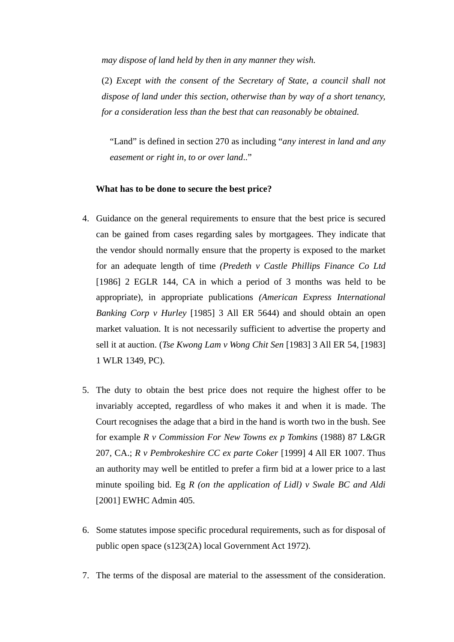*may dispose of land held by then in any manner they wish.* 

(2) *Except with the consent of the Secretary of State, a council shall not dispose of land under this section, otherwise than by way of a short tenancy, for a consideration less than the best that can reasonably be obtained.*

"Land" is defined in section 270 as including "*any interest in land and any easement or right in, to or over land*.."

#### **What has to be done to secure the best price?**

- 4. Guidance on the general requirements to ensure that the best price is secured can be gained from cases regarding sales by mortgagees. They indicate that the vendor should normally ensure that the property is exposed to the market for an adequate length of time *(Predeth v Castle Phillips Finance Co Ltd* [1986] 2 EGLR 144, CA in which a period of 3 months was held to be appropriate), in appropriate publications *(American Express International Banking Corp v Hurley* [1985] 3 All ER 5644) and should obtain an open market valuation. It is not necessarily sufficient to advertise the property and sell it at auction. (*Tse Kwong Lam v Wong Chit Sen* [1983] 3 All ER 54, [1983] 1 WLR 1349, PC).
- 5. The duty to obtain the best price does not require the highest offer to be invariably accepted, regardless of who makes it and when it is made. The Court recognises the adage that a bird in the hand is worth two in the bush. See for example *R v Commission For New Towns ex p Tomkins* (1988) 87 L&GR 207, CA.; *R v Pembrokeshire CC ex parte Coker* [1999] 4 All ER 1007. Thus an authority may well be entitled to prefer a firm bid at a lower price to a last minute spoiling bid. Eg *R (on the application of Lidl) v Swale BC and Aldi* [2001] EWHC Admin 405.
- 6. Some statutes impose specific procedural requirements, such as for disposal of public open space (s123(2A) local Government Act 1972).
- 7. The terms of the disposal are material to the assessment of the consideration.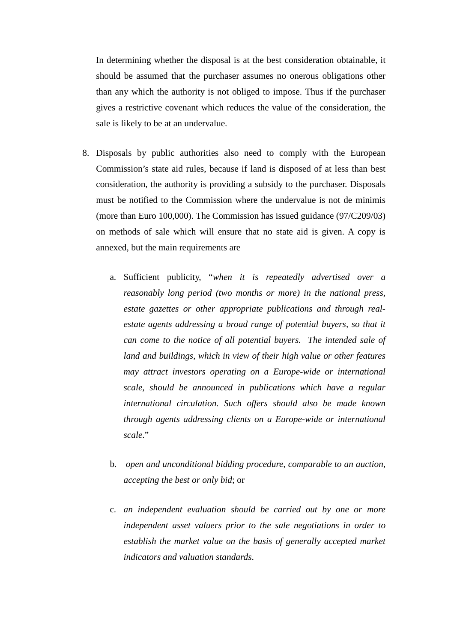In determining whether the disposal is at the best consideration obtainable, it should be assumed that the purchaser assumes no onerous obligations other than any which the authority is not obliged to impose. Thus if the purchaser gives a restrictive covenant which reduces the value of the consideration, the sale is likely to be at an undervalue.

- 8. Disposals by public authorities also need to comply with the European Commission's state aid rules, because if land is disposed of at less than best consideration, the authority is providing a subsidy to the purchaser. Disposals must be notified to the Commission where the undervalue is not de minimis (more than Euro 100,000). The Commission has issued guidance (97/C209/03) on methods of sale which will ensure that no state aid is given. A copy is annexed, but the main requirements are
	- a. Sufficient publicity, "*when it is repeatedly advertised over a reasonably long period (two months or more) in the national press, estate gazettes or other appropriate publications and through realestate agents addressing a broad range of potential buyers, so that it can come to the notice of all potential buyers. The intended sale of land and buildings, which in view of their high value or other features may attract investors operating on a Europe-wide or international scale, should be announced in publications which have a regular international circulation. Such offers should also be made known through agents addressing clients on a Europe-wide or international scale*."
	- b. *open and unconditional bidding procedure, comparable to an auction, accepting the best or only bid*; or
	- c. *an independent evaluation should be carried out by one or more independent asset valuers prior to the sale negotiations in order to establish the market value on the basis of generally accepted market indicators and valuation standards*.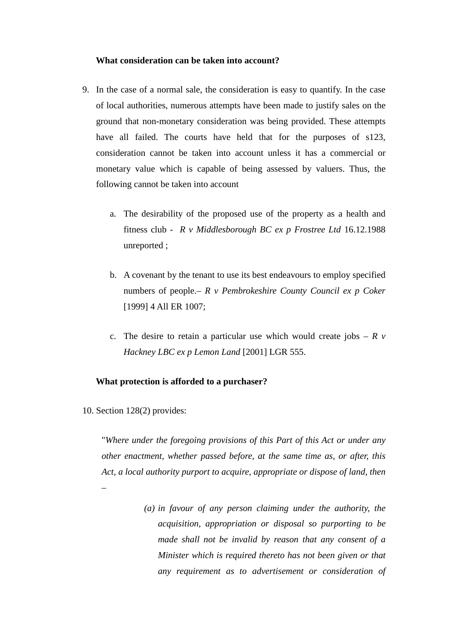#### **What consideration can be taken into account?**

- 9. In the case of a normal sale, the consideration is easy to quantify. In the case of local authorities, numerous attempts have been made to justify sales on the ground that non-monetary consideration was being provided. These attempts have all failed. The courts have held that for the purposes of s123, consideration cannot be taken into account unless it has a commercial or monetary value which is capable of being assessed by valuers. Thus, the following cannot be taken into account
	- a. The desirability of the proposed use of the property as a health and fitness club - *R v Middlesborough BC ex p Frostree Ltd* 16.12.1988 unreported ;
	- b. A covenant by the tenant to use its best endeavours to employ specified numbers of people.– *R v Pembrokeshire County Council ex p Coker* [1999] 4 All ER 1007;
	- c. The desire to retain a particular use which would create jobs  $R v$ *Hackney LBC ex p Lemon Land* [2001] LGR 555.

## **What protection is afforded to a purchaser?**

10. Section 128(2) provides:

*–* 

"*Where under the foregoing provisions of this Part of this Act or under any other enactment, whether passed before, at the same time as, or after, this Act, a local authority purport to acquire, appropriate or dispose of land, then* 

> *(a) in favour of any person claiming under the authority, the acquisition, appropriation or disposal so purporting to be made shall not be invalid by reason that any consent of a Minister which is required thereto has not been given or that any requirement as to advertisement or consideration of*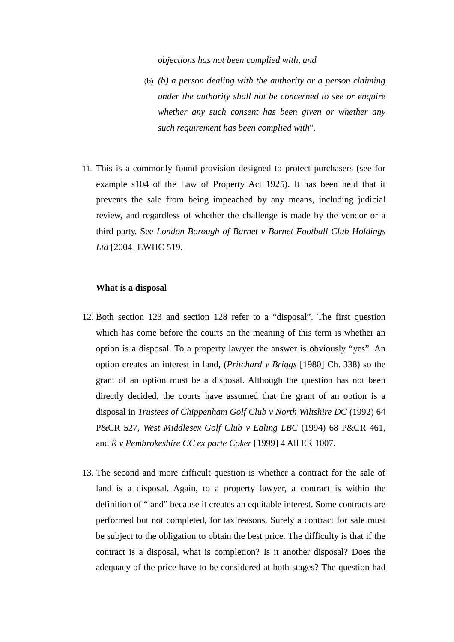*objections has not been complied with, and* 

- (b) *(b) a person dealing with the authority or a person claiming under the authority shall not be concerned to see or enquire whether any such consent has been given or whether any such requirement has been complied with*".
- 11. This is a commonly found provision designed to protect purchasers (see for example s104 of the Law of Property Act 1925). It has been held that it prevents the sale from being impeached by any means, including judicial review, and regardless of whether the challenge is made by the vendor or a third party. See *London Borough of Barnet v Barnet Football Club Holdings Ltd* [2004] EWHC 519.

#### **What is a disposal**

- 12. Both section 123 and section 128 refer to a "disposal". The first question which has come before the courts on the meaning of this term is whether an option is a disposal. To a property lawyer the answer is obviously "yes". An option creates an interest in land, (*Pritchard v Briggs* [1980] Ch. 338) so the grant of an option must be a disposal. Although the question has not been directly decided, the courts have assumed that the grant of an option is a disposal in *Trustees of Chippenham Golf Club v North Wiltshire DC* (1992) 64 P&CR 527, *West Middlesex Golf Club v Ealing LBC* (1994) 68 P&CR 461, and *R v Pembrokeshire CC ex parte Coker* [1999] 4 All ER 1007.
- 13. The second and more difficult question is whether a contract for the sale of land is a disposal. Again, to a property lawyer, a contract is within the definition of "land" because it creates an equitable interest. Some contracts are performed but not completed, for tax reasons. Surely a contract for sale must be subject to the obligation to obtain the best price. The difficulty is that if the contract is a disposal, what is completion? Is it another disposal? Does the adequacy of the price have to be considered at both stages? The question had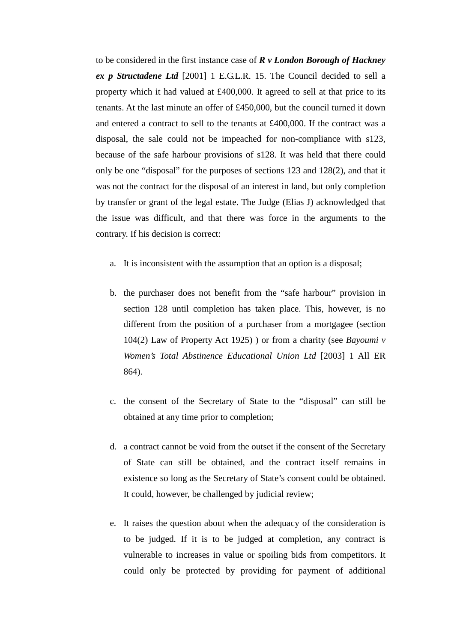to be considered in the first instance case of *R v London Borough of Hackney ex p Structadene Ltd* [2001] 1 E.G.L.R. 15. The Council decided to sell a property which it had valued at £400,000. It agreed to sell at that price to its tenants. At the last minute an offer of £450,000, but the council turned it down and entered a contract to sell to the tenants at £400,000. If the contract was a disposal, the sale could not be impeached for non-compliance with s123, because of the safe harbour provisions of s128. It was held that there could only be one "disposal" for the purposes of sections 123 and 128(2), and that it was not the contract for the disposal of an interest in land, but only completion by transfer or grant of the legal estate. The Judge (Elias J) acknowledged that the issue was difficult, and that there was force in the arguments to the contrary. If his decision is correct:

- a. It is inconsistent with the assumption that an option is a disposal;
- b. the purchaser does not benefit from the "safe harbour" provision in section 128 until completion has taken place. This, however, is no different from the position of a purchaser from a mortgagee (section 104(2) Law of Property Act 1925) ) or from a charity (see *Bayoumi v Women's Total Abstinence Educational Union Ltd* [2003] 1 All ER 864).
- c. the consent of the Secretary of State to the "disposal" can still be obtained at any time prior to completion;
- d. a contract cannot be void from the outset if the consent of the Secretary of State can still be obtained, and the contract itself remains in existence so long as the Secretary of State's consent could be obtained. It could, however, be challenged by judicial review;
- e. It raises the question about when the adequacy of the consideration is to be judged. If it is to be judged at completion, any contract is vulnerable to increases in value or spoiling bids from competitors. It could only be protected by providing for payment of additional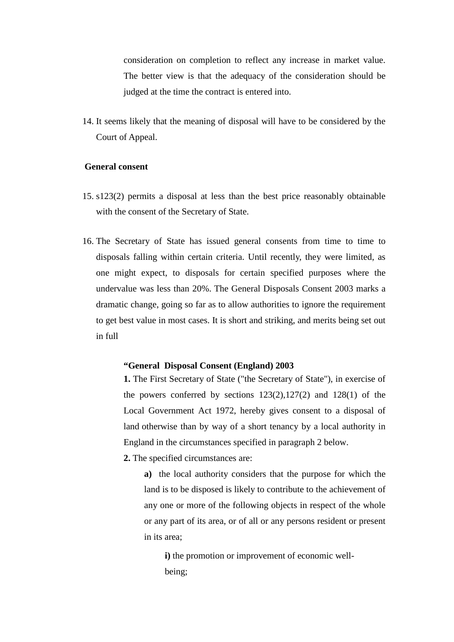consideration on completion to reflect any increase in market value. The better view is that the adequacy of the consideration should be judged at the time the contract is entered into.

14. It seems likely that the meaning of disposal will have to be considered by the Court of Appeal.

#### **General consent**

- 15. s123(2) permits a disposal at less than the best price reasonably obtainable with the consent of the Secretary of State.
- 16. The Secretary of State has issued general consents from time to time to disposals falling within certain criteria. Until recently, they were limited, as one might expect, to disposals for certain specified purposes where the undervalue was less than 20%. The General Disposals Consent 2003 marks a dramatic change, going so far as to allow authorities to ignore the requirement to get best value in most cases. It is short and striking, and merits being set out in full

## **"General Disposal Consent (England) 2003**

**1.** The First Secretary of State ("the Secretary of State"), in exercise of the powers conferred by sections 123(2),127(2) and 128(1) of the Local Government Act 1972, hereby gives consent to a disposal of land otherwise than by way of a short tenancy by a local authority in England in the circumstances specified in paragraph 2 below.

**2.** The specified circumstances are:

**a)** the local authority considers that the purpose for which the land is to be disposed is likely to contribute to the achievement of any one or more of the following objects in respect of the whole or any part of its area, or of all or any persons resident or present in its area;

**i**) the promotion or improvement of economic wellbeing;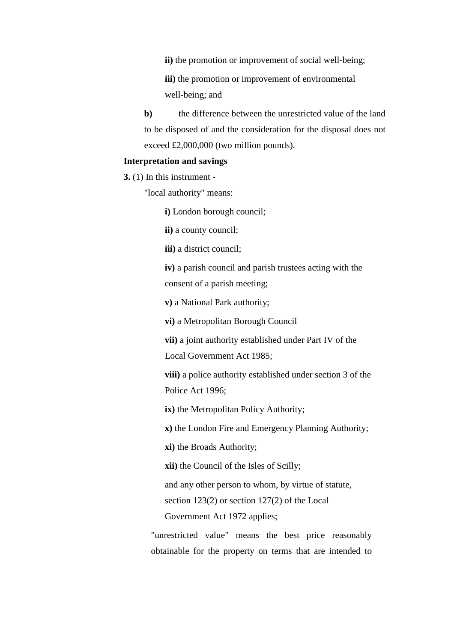**ii)** the promotion or improvement of social well-being; **iii**) the promotion or improvement of environmental well-being; and

**b**) the difference between the unrestricted value of the land to be disposed of and the consideration for the disposal does not exceed £2,000,000 (two million pounds).

### **Interpretation and savings**

**3.** (1) In this instrument -

"local authority" means:

**i)** London borough council;

ii) a county council;

**iii)** a district council;

**iv)** a parish council and parish trustees acting with the consent of a parish meeting;

**v)** a National Park authority;

**vi)** a Metropolitan Borough Council

**vii)** a joint authority established under Part IV of the

Local Government Act 1985;

**viii)** a police authority established under section 3 of the Police Act 1996;

**ix)** the Metropolitan Policy Authority;

**x)** the London Fire and Emergency Planning Authority;

**xi)** the Broads Authority;

**xii)** the Council of the Isles of Scilly;

and any other person to whom, by virtue of statute,

section 123(2) or section 127(2) of the Local

Government Act 1972 applies;

"unrestricted value" means the best price reasonably obtainable for the property on terms that are intended to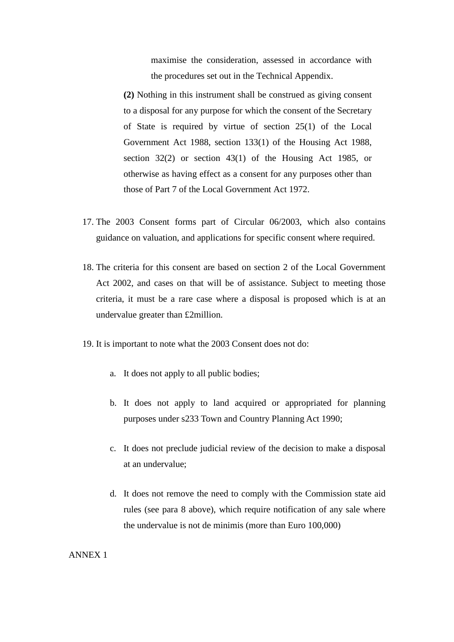maximise the consideration, assessed in accordance with the procedures set out in the Technical Appendix.

**(2)** Nothing in this instrument shall be construed as giving consent to a disposal for any purpose for which the consent of the Secretary of State is required by virtue of section 25(1) of the Local Government Act 1988, section 133(1) of the Housing Act 1988, section 32(2) or section 43(1) of the Housing Act 1985, or otherwise as having effect as a consent for any purposes other than those of Part 7 of the Local Government Act 1972.

- 17. The 2003 Consent forms part of Circular 06/2003, which also contains guidance on valuation, and applications for specific consent where required.
- 18. The criteria for this consent are based on section 2 of the Local Government Act 2002, and cases on that will be of assistance. Subject to meeting those criteria, it must be a rare case where a disposal is proposed which is at an undervalue greater than £2million.
- 19. It is important to note what the 2003 Consent does not do:
	- a. It does not apply to all public bodies;
	- b. It does not apply to land acquired or appropriated for planning purposes under s233 Town and Country Planning Act 1990;
	- c. It does not preclude judicial review of the decision to make a disposal at an undervalue;
	- d. It does not remove the need to comply with the Commission state aid rules (see para 8 above), which require notification of any sale where the undervalue is not de minimis (more than Euro 100,000)

ANNEX 1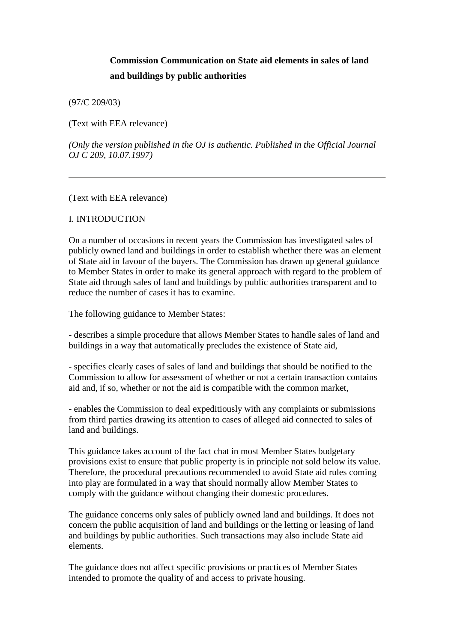# **Commission Communication on State aid elements in sales of land and buildings by public authorities**

(97/C 209/03)

(Text with EEA relevance)

*(Only the version published in the OJ is authentic. Published in the Official Journal OJ C 209, 10.07.1997)*

(Text with EEA relevance)

# I. INTRODUCTION

On a number of occasions in recent years the Commission has investigated sales of publicly owned land and buildings in order to establish whether there was an element of State aid in favour of the buyers. The Commission has drawn up general guidance to Member States in order to make its general approach with regard to the problem of State aid through sales of land and buildings by public authorities transparent and to reduce the number of cases it has to examine.

The following guidance to Member States:

- describes a simple procedure that allows Member States to handle sales of land and buildings in a way that automatically precludes the existence of State aid,

- specifies clearly cases of sales of land and buildings that should be notified to the Commission to allow for assessment of whether or not a certain transaction contains aid and, if so, whether or not the aid is compatible with the common market,

- enables the Commission to deal expeditiously with any complaints or submissions from third parties drawing its attention to cases of alleged aid connected to sales of land and buildings.

This guidance takes account of the fact chat in most Member States budgetary provisions exist to ensure that public property is in principle not sold below its value. Therefore, the procedural precautions recommended to avoid State aid rules coming into play are formulated in a way that should normally allow Member States to comply with the guidance without changing their domestic procedures.

The guidance concerns only sales of publicly owned land and buildings. It does not concern the public acquisition of land and buildings or the letting or leasing of land and buildings by public authorities. Such transactions may also include State aid elements.

The guidance does not affect specific provisions or practices of Member States intended to promote the quality of and access to private housing.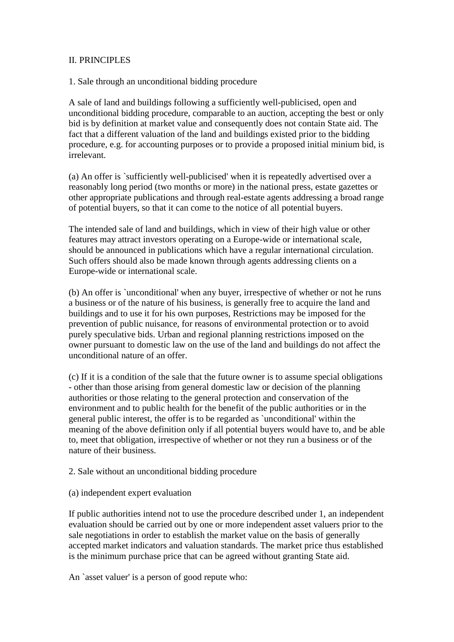# II. PRINCIPLES

# 1. Sale through an unconditional bidding procedure

A sale of land and buildings following a sufficiently well-publicised, open and unconditional bidding procedure, comparable to an auction, accepting the best or only bid is by definition at market value and consequently does not contain State aid. The fact that a different valuation of the land and buildings existed prior to the bidding procedure, e.g. for accounting purposes or to provide a proposed initial minium bid, is irrelevant.

(a) An offer is `sufficiently well-publicised' when it is repeatedly advertised over a reasonably long period (two months or more) in the national press, estate gazettes or other appropriate publications and through real-estate agents addressing a broad range of potential buyers, so that it can come to the notice of all potential buyers.

The intended sale of land and buildings, which in view of their high value or other features may attract investors operating on a Europe-wide or international scale, should be announced in publications which have a regular international circulation. Such offers should also be made known through agents addressing clients on a Europe-wide or international scale.

(b) An offer is `unconditional' when any buyer, irrespective of whether or not he runs a business or of the nature of his business, is generally free to acquire the land and buildings and to use it for his own purposes, Restrictions may be imposed for the prevention of public nuisance, for reasons of environmental protection or to avoid purely speculative bids. Urban and regional planning restrictions imposed on the owner pursuant to domestic law on the use of the land and buildings do not affect the unconditional nature of an offer.

(c) If it is a condition of the sale that the future owner is to assume special obligations - other than those arising from general domestic law or decision of the planning authorities or those relating to the general protection and conservation of the environment and to public health for the benefit of the public authorities or in the general public interest, the offer is to be regarded as `unconditional' within the meaning of the above definition only if all potential buyers would have to, and be able to, meet that obligation, irrespective of whether or not they run a business or of the nature of their business.

# 2. Sale without an unconditional bidding procedure

(a) independent expert evaluation

If public authorities intend not to use the procedure described under 1, an independent evaluation should be carried out by one or more independent asset valuers prior to the sale negotiations in order to establish the market value on the basis of generally accepted market indicators and valuation standards. The market price thus established is the minimum purchase price that can be agreed without granting State aid.

An `asset valuer' is a person of good repute who: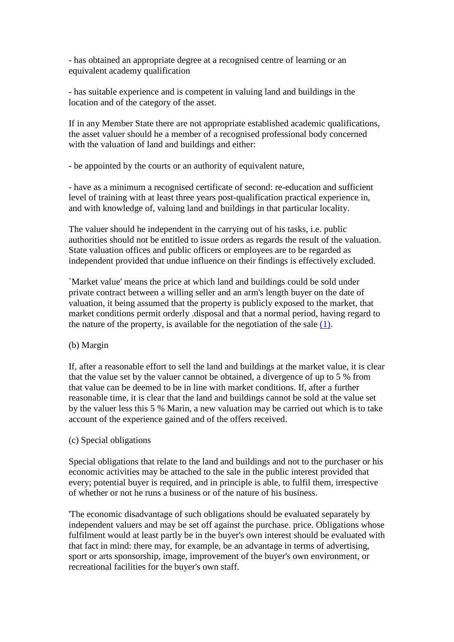- has obtained an appropriate degree at a recognised centre of learning or an equivalent academy qualification

- has suitable experience and is competent in valuing land and buildings in the location and of the category of the asset.

If in any Member State there are not appropriate established academic qualifications, the asset valuer should he a member of a recognised professional body concerned with the valuation of land and buildings and either:

- be appointed by the courts or an authority of equivalent nature,

- have as a minimum a recognised certificate of second: re-education and sufficient level of training with at least three years post-qualification practical experience in, and with knowledge of, valuing land and buildings in that particular locality.

The valuer should he independent in the carrying out of his tasks, i.e. public authorities should not be entitled to issue orders as regards the result of the valuation. State valuation offices and public officers or employees are to be regarded as independent provided that undue influence on their findings is effectively excluded.

`Market value' means the price at which land and buildings could be sold under private contract between a willing seller and an arm's length buyer on the date of valuation, it being assumed that the property is publicly exposed to the market, that market conditions permit orderly .disposal and that a normal period, having regard to the nature of the property, is available for the negotiation of the sale (1).

(b) Margin

If, after a reasonable effort to sell the land and buildings at the market value, it is clear that the value set by the valuer cannot be obtained, a divergence of up to 5 % from that value can be deemed to be in line with market conditions. If, after a further reasonable time, it is clear that the land and buildings cannot be sold at the value set by the valuer less this 5 % Marin, a new valuation may be carried out which is to take account of the experience gained and of the offers received.

# (c) Special obligations

Special obligations that relate to the land and buildings and not to the purchaser or his economic activities may be attached to the sale in the public interest provided that every; potential buyer is required, and in principle is able, to fulfil them, irrespective of whether or not he runs a business or of the nature of his business.

'The economic disadvantage of such obligations should be evaluated separately by independent valuers and may be set off against the purchase. price. Obligations whose fulfilment would at least partly be in the buyer's own interest should be evaluated with that fact in mind: there may, for example, be an advantage in terms of advertising, sport or arts sponsorship, image, improvement of the buyer's own environment, or recreational facilities for the buyer's own staff.